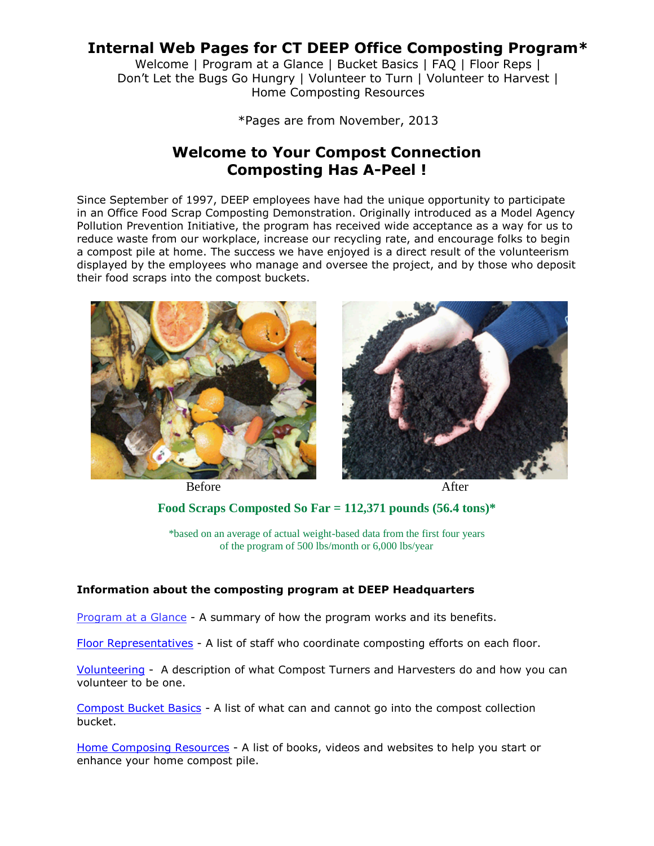# **Internal Web Pages for CT DEEP Office Composting Program\***

Welcome | Program at a Glance | Bucket Basics | FAQ | Floor Reps | Don't Let the Bugs Go Hungry | Volunteer to Turn | Volunteer to Harvest | Home Composting Resources

\*Pages are from November, 2013

# **Welcome to Your Compost Connection Composting Has A-Peel !**

Since September of 1997, DEEP employees have had the unique opportunity to participate in an Office Food Scrap Composting Demonstration. Originally introduced as a Model Agency Pollution Prevention Initiative, the program has received wide acceptance as a way for us to reduce waste from our workplace, increase our recycling rate, and encourage folks to begin a compost pile at home. The success we have enjoyed is a direct result of the volunteerism displayed by the employees who manage and oversee the project, and by those who deposit their food scraps into the compost buckets.



Before After



# **Food Scraps Composted So Far = 112,371 pounds (56.4 tons)\***

\*based on an average of actual weight-based data from the first four years of the program of 500 lbs/month or 6,000 lbs/year

## **Information about the composting program at DEEP Headquarters**

Program at a Glance - A summary of how the program works and its benefits.

Floor Representatives - A list of staff who coordinate composting efforts on each floor.

Volunteering - A description of what Compost Turners and Harvesters do and how you can volunteer to be one.

Compost Bucket Basics - A list of what can and cannot go into the compost collection bucket.

Home Composing Resources - A list of books, videos and websites to help you start or enhance your home compost pile.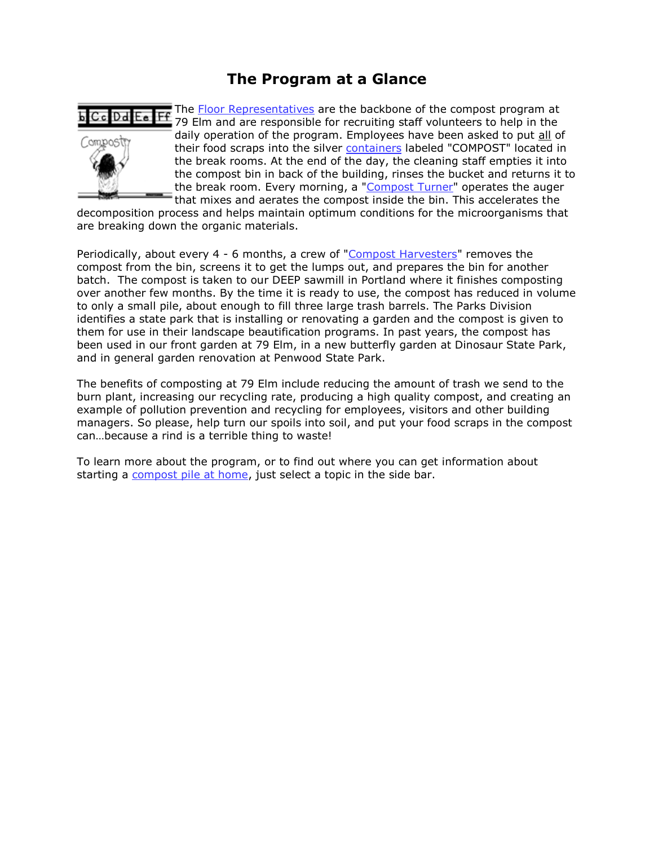# **The Program at a Glance**



The Floor Representatives are the backbone of the compost program at 79 Elm and are responsible for recruiting staff volunteers to help in the daily operation of the program. Employees have been asked to put all of their food scraps into the silver containers labeled "COMPOST" located in the break rooms. At the end of the day, the cleaning staff empties it into the compost bin in back of the building, rinses the bucket and returns it to the break room. Every morning, a "Compost Turner" operates the auger that mixes and aerates the compost inside the bin. This accelerates the

decomposition process and helps maintain optimum conditions for the microorganisms that are breaking down the organic materials.

Periodically, about every 4 - 6 months, a crew of "Compost Harvesters" removes the compost from the bin, screens it to get the lumps out, and prepares the bin for another batch. The compost is taken to our DEEP sawmill in Portland where it finishes composting over another few months. By the time it is ready to use, the compost has reduced in volume to only a small pile, about enough to fill three large trash barrels. The Parks Division identifies a state park that is installing or renovating a garden and the compost is given to them for use in their landscape beautification programs. In past years, the compost has been used in our front garden at 79 Elm, in a new butterfly garden at Dinosaur State Park, and in general garden renovation at Penwood State Park.

The benefits of composting at 79 Elm include reducing the amount of trash we send to the burn plant, increasing our recycling rate, producing a high quality compost, and creating an example of pollution prevention and recycling for employees, visitors and other building managers. So please, help turn our spoils into soil, and put your food scraps in the compost can…because a rind is a terrible thing to waste!

To learn more about the program, or to find out where you can get information about starting a compost pile at home, just select a topic in the side bar.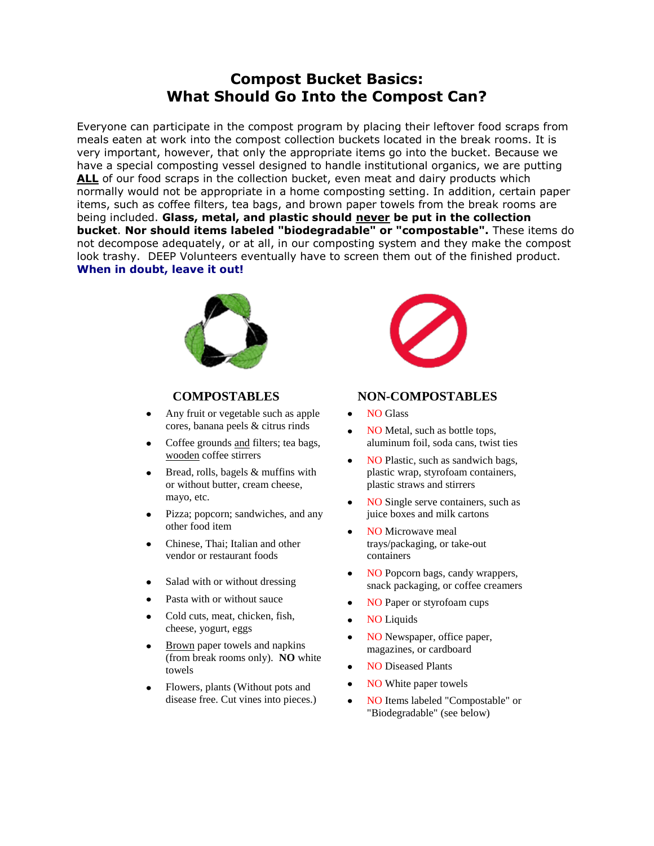# **Compost Bucket Basics: What Should Go Into the Compost Can?**

Everyone can participate in the compost program by placing their leftover food scraps from meals eaten at work into the compost collection buckets located in the break rooms. It is very important, however, that only the appropriate items go into the bucket. Because we have a special composting vessel designed to handle institutional organics, we are putting ALL of our food scraps in the collection bucket, even meat and dairy products which normally would not be appropriate in a home composting setting. In addition, certain paper items, such as coffee filters, tea bags, and brown paper towels from the break rooms are being included. **Glass, metal, and plastic should never be put in the collection bucket**. **Nor should items labeled "biodegradable" or "compostable".** These items do not decompose adequately, or at all, in our composting system and they make the compost look trashy. DEEP Volunteers eventually have to screen them out of the finished product. **When in doubt, leave it out!** 



- Any fruit or vegetable such as apple cores, banana peels & citrus rinds
- Coffee grounds and filters; tea bags, wooden coffee stirrers
- Bread, rolls, bagels & muffins with  $\bullet$ or without butter, cream cheese, mayo, etc.
- Pizza; popcorn; sandwiches, and any  $\bullet$ other food item
- Chinese, Thai; Italian and other vendor or restaurant foods
- Salad with or without dressing
- Pasta with or without sauce
- Cold cuts, meat, chicken, fish,  $\bullet$ cheese, yogurt, eggs
- Brown paper towels and napkins (from break rooms only). **NO** white towels
- Flowers, plants (Without pots and disease free. Cut vines into pieces.)



### **COMPOSTABLES NON-COMPOSTABLES**

- NO Glass  $\bullet$
- NO Metal, such as bottle tops, aluminum foil, soda cans, twist ties
- NO Plastic, such as sandwich bags,  $\bullet$ plastic wrap, styrofoam containers, plastic straws and stirrers
- NO Single serve containers, such as  $\bullet$ juice boxes and milk cartons
- NO Microwave meal trays/packaging, or take-out containers
- NO Popcorn bags, candy wrappers,  $\bullet$ snack packaging, or coffee creamers
- NO Paper or styrofoam cups
- NO Liquids  $\bullet$
- NO Newspaper, office paper,  $\bullet$ magazines, or cardboard
- NO Diseased Plants  $\bullet$
- NO White paper towels  $\bullet$
- NO Items labeled "Compostable" or  $\bullet$ "Biodegradable" (see below)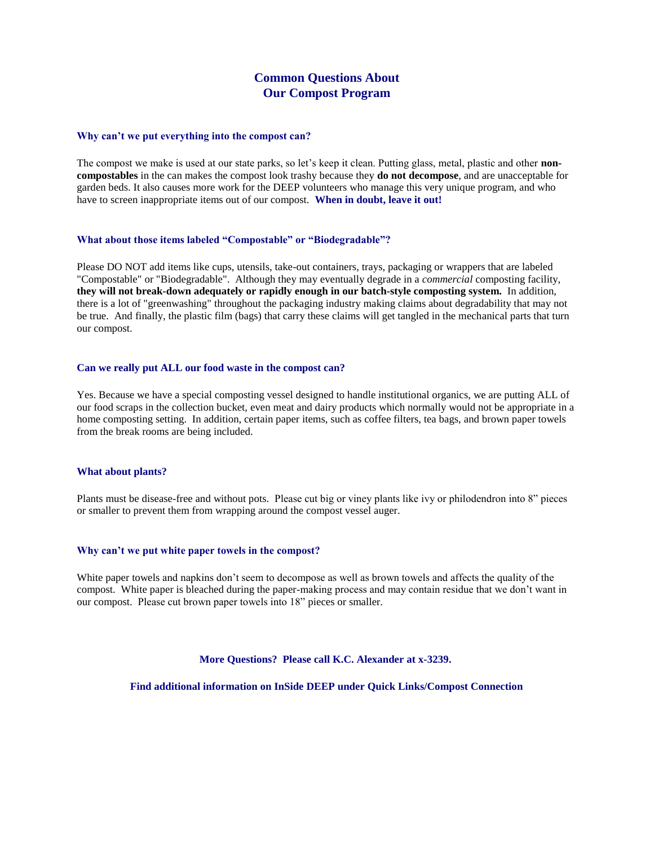### **Common Questions About Our Compost Program**

#### **Why can't we put everything into the compost can?**

The compost we make is used at our state parks, so let's keep it clean. Putting glass, metal, plastic and other **noncompostables** in the can makes the compost look trashy because they **do not decompose**, and are unacceptable for garden beds. It also causes more work for the DEEP volunteers who manage this very unique program, and who have to screen inappropriate items out of our compost. **When in doubt, leave it out!** 

#### **What about those items labeled "Compostable" or "Biodegradable"?**

Please DO NOT add items like cups, utensils, take-out containers, trays, packaging or wrappers that are labeled "Compostable" or "Biodegradable". Although they may eventually degrade in a *commercial* composting facility, **they will not break-down adequately or rapidly enough in our batch-style composting system.** In addition, there is a lot of "greenwashing" throughout the packaging industry making claims about degradability that may not be true. And finally, the plastic film (bags) that carry these claims will get tangled in the mechanical parts that turn our compost.

#### **Can we really put ALL our food waste in the compost can?**

Yes. Because we have a special composting vessel designed to handle institutional organics, we are putting ALL of our food scraps in the collection bucket, even meat and dairy products which normally would not be appropriate in a home composting setting. In addition, certain paper items, such as coffee filters, tea bags, and brown paper towels from the break rooms are being included.

#### **What about plants?**

Plants must be disease-free and without pots. Please cut big or viney plants like ivy or philodendron into 8" pieces or smaller to prevent them from wrapping around the compost vessel auger.

#### **Why can't we put white paper towels in the compost?**

White paper towels and napkins don't seem to decompose as well as brown towels and affects the quality of the compost. White paper is bleached during the paper-making process and may contain residue that we don't want in our compost. Please cut brown paper towels into 18" pieces or smaller.

### **More Questions? Please call K.C. Alexander at x-3239.**

**Find additional information on InSide DEEP under Quick Links/Compost Connection**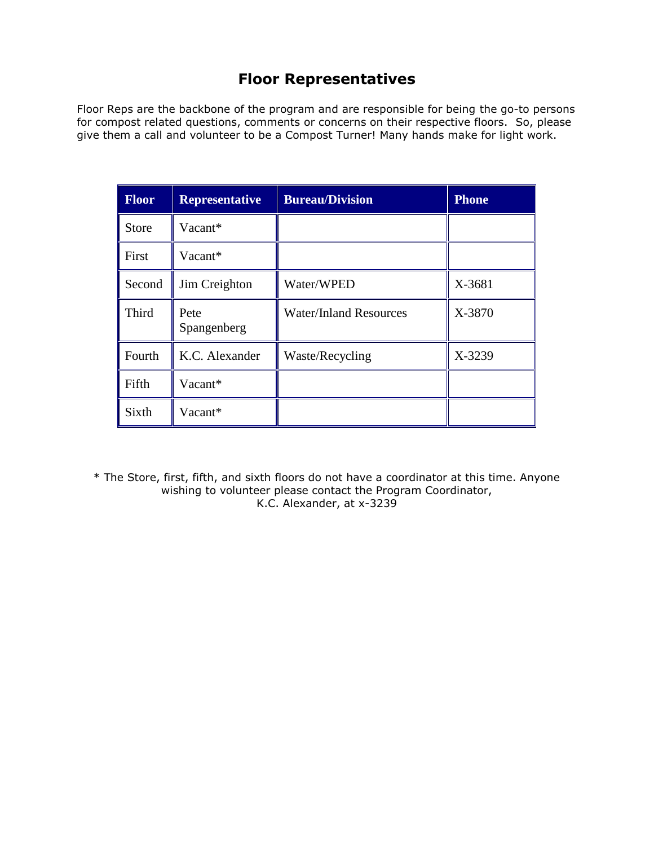# **Floor Representatives**

Floor Reps are the backbone of the program and are responsible for being the go-to persons for compost related questions, comments or concerns on their respective floors. So, please give them a call and volunteer to be a Compost Turner! Many hands make for light work.

| <b>Floor</b> | <b>Representative</b> | <b>Bureau/Division</b>        | <b>Phone</b> |
|--------------|-----------------------|-------------------------------|--------------|
| <b>Store</b> | Vacant*               |                               |              |
| First        | Vacant*               |                               |              |
| Second       | Jim Creighton         | Water/WPED                    | X-3681       |
| Third        | Pete<br>Spangenberg   | <b>Water/Inland Resources</b> | X-3870       |
| Fourth       | K.C. Alexander        | Waste/Recycling               | X-3239       |
| Fifth        | Vacant*               |                               |              |
| Sixth        | Vacant*               |                               |              |

\* The Store, first, fifth, and sixth floors do not have a coordinator at this time. Anyone wishing to volunteer please contact the Program Coordinator, K.C. Alexander, at x-3239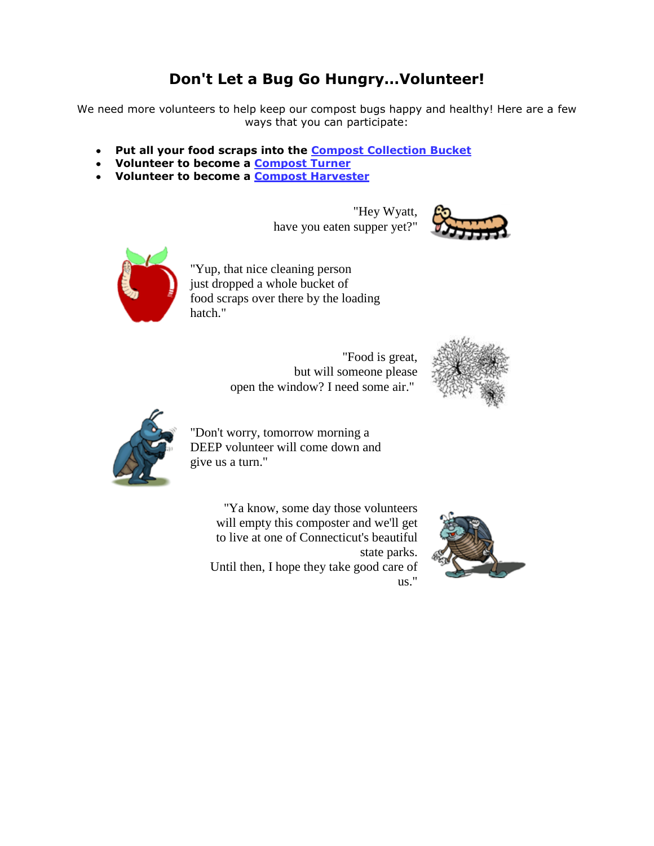# **Don't Let a Bug Go Hungry…Volunteer!**

We need more volunteers to help keep our compost bugs happy and healthy! Here are a few ways that you can participate:

- **Put all your food scraps into the Compost Collection Bucket**  $\bullet$
- **Volunteer to become a Compost Turner**
- **Volunteer to become a Compost Harvester**

"Hey Wyatt, have you eaten supper yet?"





"Yup, that nice cleaning person just dropped a whole bucket of food scraps over there by the loading hatch."

> "Food is great, but will someone please open the window? I need some air."





"Don't worry, tomorrow morning a DEEP volunteer will come down and give us a turn."

> "Ya know, some day those volunteers will empty this composter and we'll get to live at one of Connecticut's beautiful state parks. Until then, I hope they take good care of us."

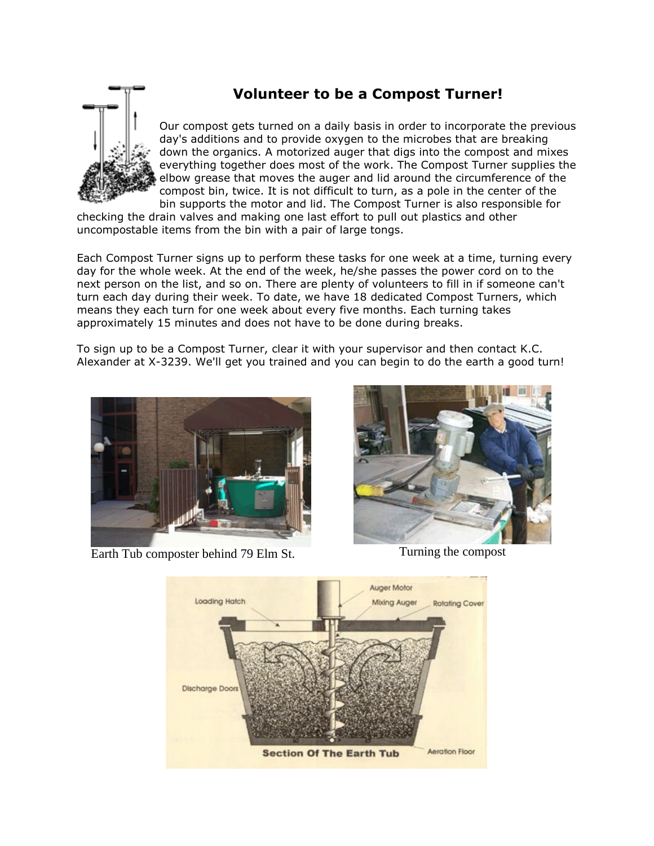# **Volunteer to be a Compost Turner!**



Our compost gets turned on a daily basis in order to incorporate the previous day's additions and to provide oxygen to the microbes that are breaking down the organics. A motorized auger that digs into the compost and mixes everything together does most of the work. The Compost Turner supplies the elbow grease that moves the auger and lid around the circumference of the compost bin, twice. It is not difficult to turn, as a pole in the center of the bin supports the motor and lid. The Compost Turner is also responsible for

checking the drain valves and making one last effort to pull out plastics and other uncompostable items from the bin with a pair of large tongs.

Each Compost Turner signs up to perform these tasks for one week at a time, turning every day for the whole week. At the end of the week, he/she passes the power cord on to the next person on the list, and so on. There are plenty of volunteers to fill in if someone can't turn each day during their week. To date, we have 18 dedicated Compost Turners, which means they each turn for one week about every five months. Each turning takes approximately 15 minutes and does not have to be done during breaks.

To sign up to be a Compost Turner, clear it with your supervisor and then contact K.C. Alexander at X-3239. We'll get you trained and you can begin to do the earth a good turn!



Earth Tub composter behind 79 Elm St. Turning the compost



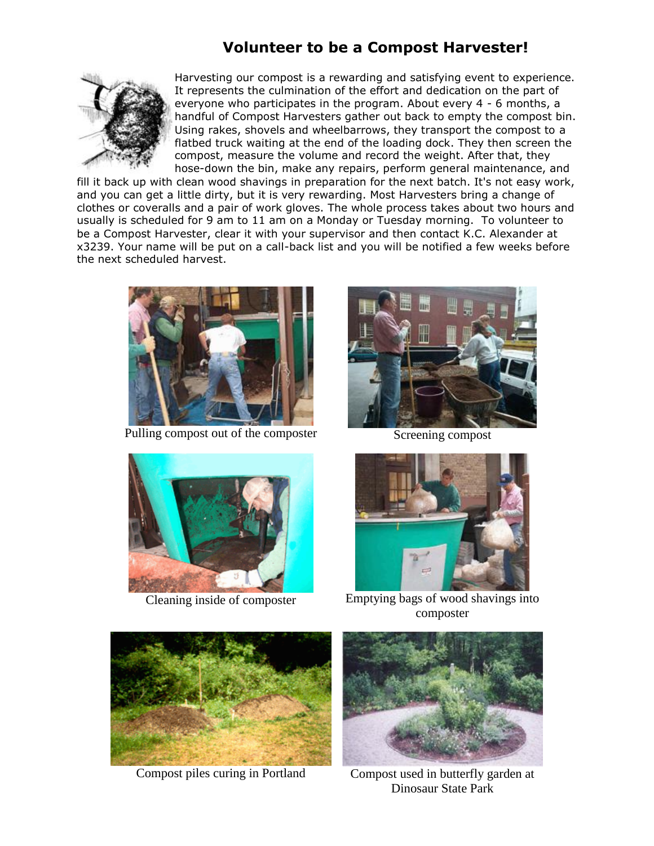# **Volunteer to be a Compost Harvester!**



Harvesting our compost is a rewarding and satisfying event to experience. It represents the culmination of the effort and dedication on the part of everyone who participates in the program. About every 4 - 6 months, a handful of Compost Harvesters gather out back to empty the compost bin. Using rakes, shovels and wheelbarrows, they transport the compost to a flatbed truck waiting at the end of the loading dock. They then screen the compost, measure the volume and record the weight. After that, they hose-down the bin, make any repairs, perform general maintenance, and

fill it back up with clean wood shavings in preparation for the next batch. It's not easy work, and you can get a little dirty, but it is very rewarding. Most Harvesters bring a change of clothes or coveralls and a pair of work gloves. The whole process takes about two hours and usually is scheduled for 9 am to 11 am on a Monday or Tuesday morning. To volunteer to be a Compost Harvester, clear it with your supervisor and then contact K.C. Alexander at x3239. Your name will be put on a call-back list and you will be notified a few weeks before the next scheduled harvest.



Pulling compost out of the composter Screening compost







Cleaning inside of composter Emptying bags of wood shavings into composter



Compost piles curing in Portland Compost used in butterfly garden at



Dinosaur State Park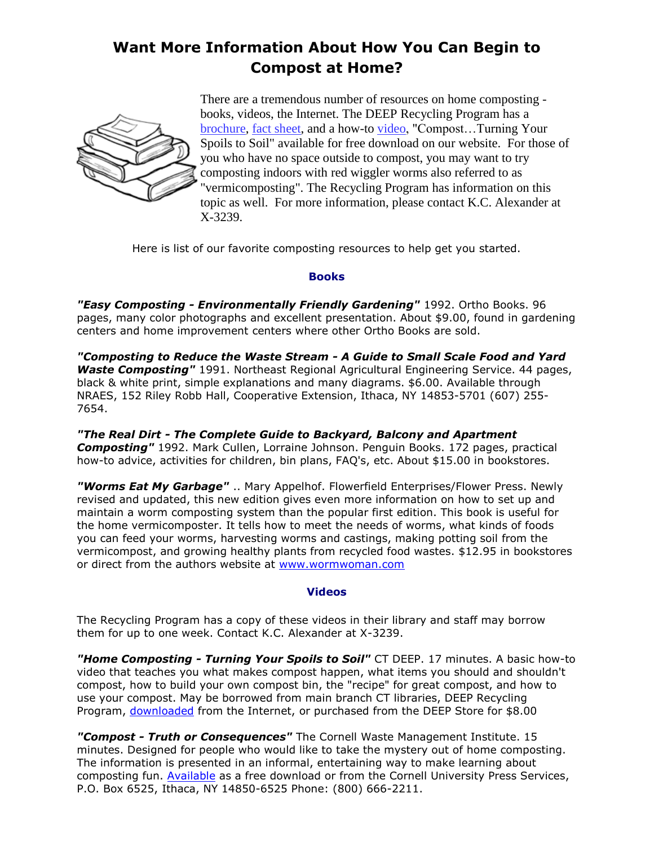# **Want More Information About How You Can Begin to Compost at Home?**



There are a tremendous number of resources on home composting books, videos, the Internet. The DEEP Recycling Program has a brochure, fact sheet, and a how-to video, "Compost...Turning Your Spoils to Soil" available for free download on our website. For those of you who have no space outside to compost, you may want to try composting indoors with red wiggler worms also referred to as "vermicomposting". The Recycling Program has information on this topic as well. For more information, please contact K.C. Alexander at X-3239.

Here is list of our favorite composting resources to help get you started.

### **Books**

*"Easy Composting - Environmentally Friendly Gardening"* 1992. Ortho Books. 96 pages, many color photographs and excellent presentation. About \$9.00, found in gardening centers and home improvement centers where other Ortho Books are sold.

*"Composting to Reduce the Waste Stream - A Guide to Small Scale Food and Yard Waste Composting"* 1991. Northeast Regional Agricultural Engineering Service. 44 pages, black & white print, simple explanations and many diagrams. \$6.00. Available through NRAES, 152 Riley Robb Hall, Cooperative Extension, Ithaca, NY 14853-5701 (607) 255- 7654.

*"The Real Dirt - The Complete Guide to Backyard, Balcony and Apartment Composting"* 1992. Mark Cullen, Lorraine Johnson. Penguin Books. 172 pages, practical how-to advice, activities for children, bin plans, FAQ's, etc. About \$15.00 in bookstores.

*"Worms Eat My Garbage"* .. Mary Appelhof. Flowerfield Enterprises/Flower Press. Newly revised and updated, this new edition gives even more information on how to set up and maintain a worm composting system than the popular first edition. This book is useful for the home vermicomposter. It tells how to meet the needs of worms, what kinds of foods you can feed your worms, harvesting worms and castings, making potting soil from the vermicompost, and growing healthy plants from recycled food wastes. \$12.95 in bookstores or direct from the authors website at www.wormwoman.com

### **Videos**

The Recycling Program has a copy of these videos in their library and staff may borrow them for up to one week. Contact K.C. Alexander at X-3239.

*"Home Composting - Turning Your Spoils to Soil"* CT DEEP. 17 minutes. A basic how-to video that teaches you what makes compost happen, what items you should and shouldn't compost, how to build your own compost bin, the "recipe" for great compost, and how to use your compost. May be borrowed from main branch CT libraries, DEEP Recycling Program, [downloaded](http://www.ct.gov/deep/cwp/view.asp?a=2718&q=399598&deepNav_GID=1645) from the Internet, or purchased from the DEEP Store for \$8.00

*"Compost - Truth or Consequences"* The Cornell Waste Management Institute. 15 minutes. Designed for people who would like to take the mystery out of home composting. The information is presented in an informal, entertaining way to make learning about composting fun. [Available](http://compost.css.cornell.edu/TorC.html) as a free download or from the Cornell University Press Services, P.O. Box 6525, Ithaca, NY 14850-6525 Phone: (800) 666-2211.